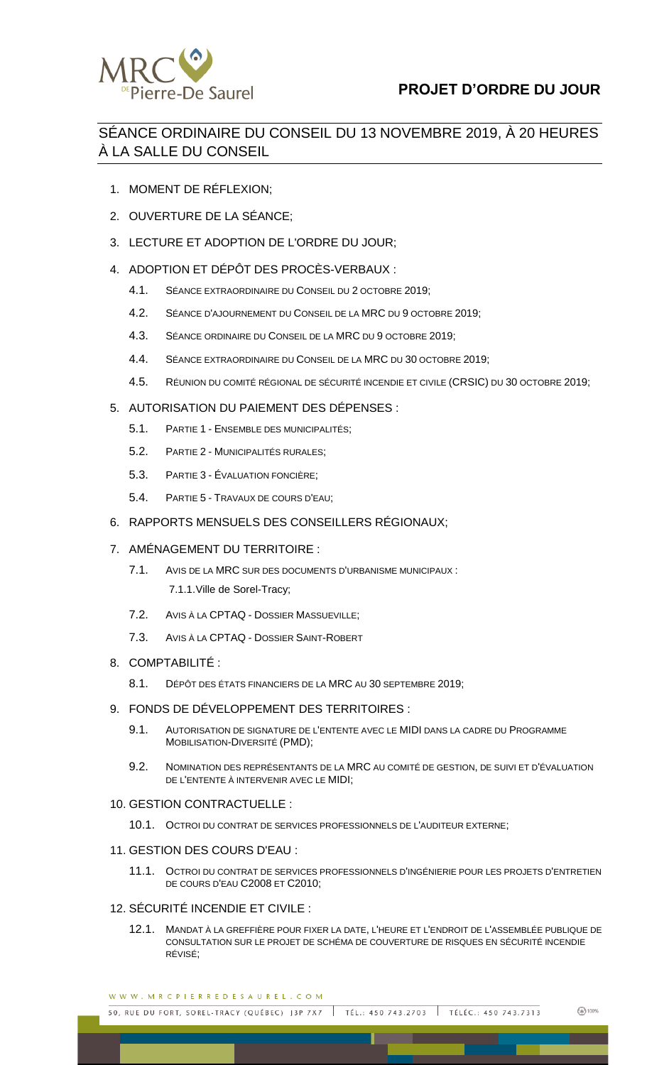

# **PROJET D'ORDRE DU JOUR**

## SÉANCE ORDINAIRE DU CONSEIL DU 13 NOVEMBRE 2019, À 20 HEURES À LA SALLE DU CONSEIL

- 1. MOMENT DE RÉFLEXION;
- 2. OUVERTURE DE LA SÉANCE;
- 3. LECTURE ET ADOPTION DE L'ORDRE DU JOUR;
- 4. ADOPTION ET DÉPÔT DES PROCÈS-VERBAUX :
	- 4.1. SÉANCE EXTRAORDINAIRE DU CONSEIL DU 2 OCTOBRE 2019;
	- 4.2. SÉANCE D'AJOURNEMENT DU CONSEIL DE LA MRC DU 9 OCTOBRE 2019;
	- 4.3. SÉANCE ORDINAIRE DU CONSEIL DE LA MRC DU 9 OCTOBRE 2019;
	- 4.4. SÉANCE EXTRAORDINAIRE DU CONSEIL DE LA MRC DU 30 OCTOBRE 2019;
	- 4.5. RÉUNION DU COMITÉ RÉGIONAL DE SÉCURITÉ INCENDIE ET CIVILE (CRSIC) DU 30 OCTOBRE 2019;

#### 5. AUTORISATION DU PAIEMENT DES DÉPENSES :

- 5.1. PARTIE 1 ENSEMBLE DES MUNICIPALITÉS;
- 5.2. PARTIE 2 MUNICIPALITÉS RURALES;
- 5.3. PARTIE 3 ÉVALUATION FONCIÈRE;
- 5.4. PARTIE 5 TRAVAUX DE COURS D'EAU;

#### 6. RAPPORTS MENSUELS DES CONSEILLERS RÉGIONAUX;

#### 7. AMÉNAGEMENT DU TERRITOIRE :

- 7.1. AVIS DE LA MRC SUR DES DOCUMENTS D'URBANISME MUNICIPAUX : 7.1.1.Ville de Sorel-Tracy;
- 7.2. AVIS À LA CPTAQ DOSSIER MASSUEVILLE;
- 7.3. AVIS À LA CPTAQ DOSSIER SAINT-ROBERT

#### 8. COMPTABILITÉ :

- 8.1. DÉPÔT DES ÉTATS FINANCIERS DE LA MRC AU 30 SEPTEMBRE 2019;
- 9. FONDS DE DÉVELOPPEMENT DES TERRITOIRES :
	- 9.1. AUTORISATION DE SIGNATURE DE L'ENTENTE AVEC LE MIDI DANS LA CADRE DU PROGRAMME MOBILISATION-DIVERSITÉ (PMD);
	- 9.2. NOMINATION DES REPRÉSENTANTS DE LA MRC AU COMITÉ DE GESTION, DE SUIVI ET D'ÉVALUATION DE L'ENTENTE À INTERVENIR AVEC LE MIDI;

#### 10. GESTION CONTRACTUELLE :

10.1. OCTROI DU CONTRAT DE SERVICES PROFESSIONNELS DE L'AUDITEUR EXTERNE;

#### 11. GESTION DES COURS D'EAU :

11.1. OCTROI DU CONTRAT DE SERVICES PROFESSIONNELS D'INGÉNIERIE POUR LES PROJETS D'ENTRETIEN DE COURS D'EAU C2008 ET C2010;

#### 12. SÉCURITÉ INCENDIE ET CIVILE :

12.1. MANDAT À LA GREFFIÈRE POUR FIXER LA DATE, L'HEURE ET L'ENDROIT DE L'ASSEMBLÉE PUBLIQUE DE CONSULTATION SUR LE PROJET DE SCHÉMA DE COUVERTURE DE RISQUES EN SÉCURITÉ INCENDIE RÉVISÉ;